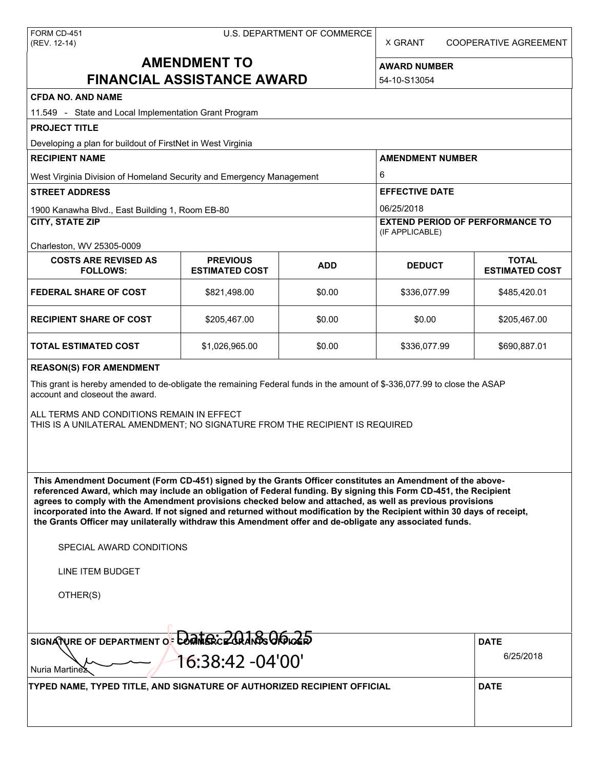X GRANT COOPERATIVE AGREEMENT

# **AMENDMENT TO FINANCIAL ASSISTANCE AWARD**

**AWARD NUMBER** 54-10-S13054

| <b>CFDA NO. AND NAME</b>                                                                                                                                                                                                                                                                                                                                                                                                                                                                                                                                                          |                                          |            |                                                                         |                                       |  |  |
|-----------------------------------------------------------------------------------------------------------------------------------------------------------------------------------------------------------------------------------------------------------------------------------------------------------------------------------------------------------------------------------------------------------------------------------------------------------------------------------------------------------------------------------------------------------------------------------|------------------------------------------|------------|-------------------------------------------------------------------------|---------------------------------------|--|--|
| 11.549 - State and Local Implementation Grant Program                                                                                                                                                                                                                                                                                                                                                                                                                                                                                                                             |                                          |            |                                                                         |                                       |  |  |
| <b>PROJECT TITLE</b>                                                                                                                                                                                                                                                                                                                                                                                                                                                                                                                                                              |                                          |            |                                                                         |                                       |  |  |
| Developing a plan for buildout of FirstNet in West Virginia<br><b>RECIPIENT NAME</b>                                                                                                                                                                                                                                                                                                                                                                                                                                                                                              |                                          |            | <b>AMENDMENT NUMBER</b>                                                 |                                       |  |  |
|                                                                                                                                                                                                                                                                                                                                                                                                                                                                                                                                                                                   |                                          |            | 6                                                                       |                                       |  |  |
| West Virginia Division of Homeland Security and Emergency Management<br><b>STREET ADDRESS</b>                                                                                                                                                                                                                                                                                                                                                                                                                                                                                     |                                          |            | <b>EFFECTIVE DATE</b>                                                   |                                       |  |  |
|                                                                                                                                                                                                                                                                                                                                                                                                                                                                                                                                                                                   |                                          |            |                                                                         |                                       |  |  |
| 1900 Kanawha Blvd., East Building 1, Room EB-80<br><b>CITY, STATE ZIP</b>                                                                                                                                                                                                                                                                                                                                                                                                                                                                                                         |                                          |            | 06/25/2018<br><b>EXTEND PERIOD OF PERFORMANCE TO</b><br>(IF APPLICABLE) |                                       |  |  |
| Charleston, WV 25305-0009                                                                                                                                                                                                                                                                                                                                                                                                                                                                                                                                                         |                                          |            |                                                                         |                                       |  |  |
| <b>COSTS ARE REVISED AS</b><br><b>FOLLOWS:</b>                                                                                                                                                                                                                                                                                                                                                                                                                                                                                                                                    | <b>PREVIOUS</b><br><b>ESTIMATED COST</b> | <b>ADD</b> | <b>DEDUCT</b>                                                           | <b>TOTAL</b><br><b>ESTIMATED COST</b> |  |  |
| <b>FEDERAL SHARE OF COST</b>                                                                                                                                                                                                                                                                                                                                                                                                                                                                                                                                                      | \$821,498.00                             | \$0.00     | \$336,077.99                                                            | \$485,420.01                          |  |  |
| <b>RECIPIENT SHARE OF COST</b>                                                                                                                                                                                                                                                                                                                                                                                                                                                                                                                                                    | \$205,467.00                             | \$0.00     | \$0.00                                                                  | \$205,467.00                          |  |  |
| <b>TOTAL ESTIMATED COST</b>                                                                                                                                                                                                                                                                                                                                                                                                                                                                                                                                                       | \$1,026,965.00                           | \$0.00     | \$336,077.99                                                            | \$690,887.01                          |  |  |
| <b>REASON(S) FOR AMENDMENT</b>                                                                                                                                                                                                                                                                                                                                                                                                                                                                                                                                                    |                                          |            |                                                                         |                                       |  |  |
| This grant is hereby amended to de-obligate the remaining Federal funds in the amount of \$-336,077.99 to close the ASAP<br>account and closeout the award.                                                                                                                                                                                                                                                                                                                                                                                                                       |                                          |            |                                                                         |                                       |  |  |
| ALL TERMS AND CONDITIONS REMAIN IN EFFECT<br>THIS IS A UNILATERAL AMENDMENT; NO SIGNATURE FROM THE RECIPIENT IS REQUIRED                                                                                                                                                                                                                                                                                                                                                                                                                                                          |                                          |            |                                                                         |                                       |  |  |
| This Amendment Document (Form CD-451) signed by the Grants Officer constitutes an Amendment of the above-<br>referenced Award, which may include an obligation of Federal funding. By signing this Form CD-451, the Recipient<br>agrees to comply with the Amendment provisions checked below and attached, as well as previous provisions<br>incorporated into the Award. If not signed and returned without modification by the Recipient within 30 days of receipt,<br>the Grants Officer may unilaterally withdraw this Amendment offer and de-obligate any associated funds. |                                          |            |                                                                         |                                       |  |  |
| SPECIAL AWARD CONDITIONS                                                                                                                                                                                                                                                                                                                                                                                                                                                                                                                                                          |                                          |            |                                                                         |                                       |  |  |
| <b>LINE ITEM BUDGET</b>                                                                                                                                                                                                                                                                                                                                                                                                                                                                                                                                                           |                                          |            |                                                                         |                                       |  |  |
| OTHER(S)                                                                                                                                                                                                                                                                                                                                                                                                                                                                                                                                                                          |                                          |            |                                                                         |                                       |  |  |
|                                                                                                                                                                                                                                                                                                                                                                                                                                                                                                                                                                                   |                                          |            |                                                                         |                                       |  |  |
| SIGNATURE OF DEPARTMENT OF <b>COMPAGE 200 ANDS GROUGE</b>                                                                                                                                                                                                                                                                                                                                                                                                                                                                                                                         | <b>DATE</b>                              |            |                                                                         |                                       |  |  |
| 16:38:42 -04'00'<br>Nuria Martinex                                                                                                                                                                                                                                                                                                                                                                                                                                                                                                                                                | 6/25/2018                                |            |                                                                         |                                       |  |  |
| TYPED NAME, TYPED TITLE, AND SIGNATURE OF AUTHORIZED RECIPIENT OFFICIAL                                                                                                                                                                                                                                                                                                                                                                                                                                                                                                           |                                          |            |                                                                         | <b>DATE</b>                           |  |  |